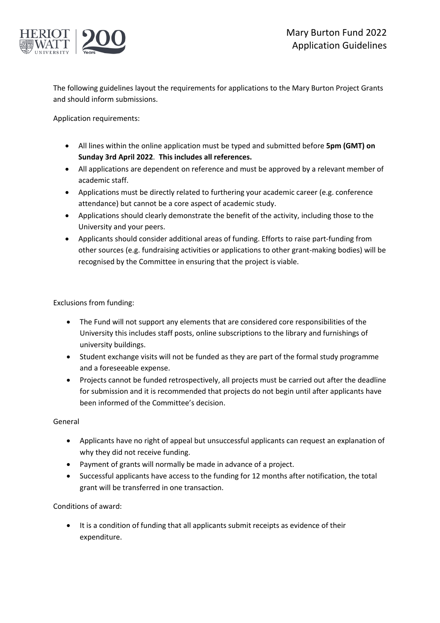

The following guidelines layout the requirements for applications to the Mary Burton Project Grants and should inform submissions.

Application requirements:

- All lines within the online application must be typed and submitted before **5pm (GMT) on Sunday 3rd April 2022**. **This includes all references.**
- All applications are dependent on reference and must be approved by a relevant member of academic staff.
- Applications must be directly related to furthering your academic career (e.g. conference attendance) but cannot be a core aspect of academic study.
- Applications should clearly demonstrate the benefit of the activity, including those to the University and your peers.
- Applicants should consider additional areas of funding. Efforts to raise part-funding from other sources (e.g. fundraising activities or applications to other grant-making bodies) will be recognised by the Committee in ensuring that the project is viable.

Exclusions from funding:

- The Fund will not support any elements that are considered core responsibilities of the University this includes staff posts, online subscriptions to the library and furnishings of university buildings.
- Student exchange visits will not be funded as they are part of the formal study programme and a foreseeable expense.
- Projects cannot be funded retrospectively, all projects must be carried out after the deadline for submission and it is recommended that projects do not begin until after applicants have been informed of the Committee's decision.

General

- Applicants have no right of appeal but unsuccessful applicants can request an explanation of why they did not receive funding.
- Payment of grants will normally be made in advance of a project.
- Successful applicants have access to the funding for 12 months after notification, the total grant will be transferred in one transaction.

Conditions of award:

• It is a condition of funding that all applicants submit receipts as evidence of their expenditure.